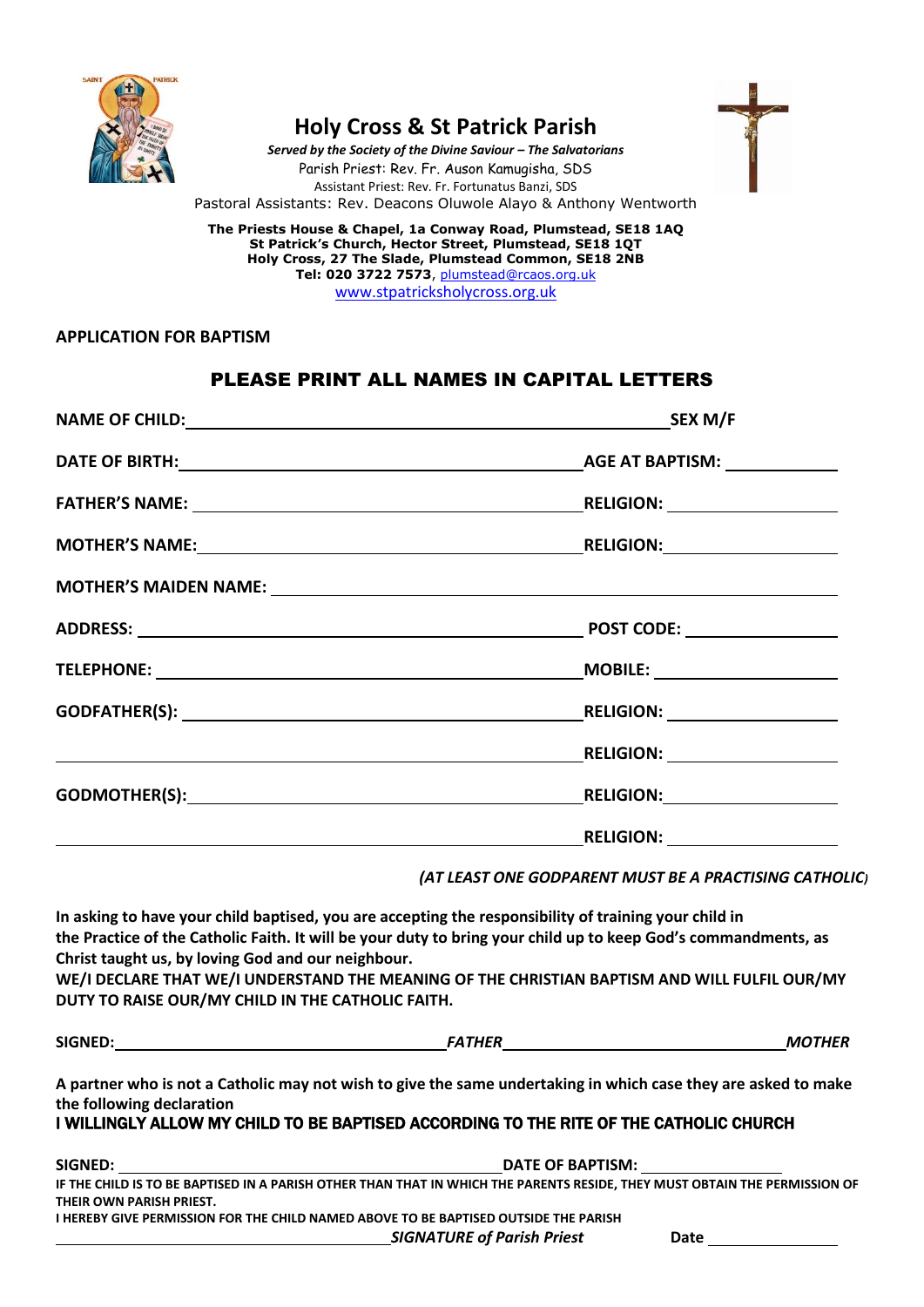

# **Holy Cross & St Patrick Parish**

*Served by the Society of the Divine Saviour – The Salvatorians* Parish Priest: Rev. Fr. Auson Kamugisha, SDS Assistant Priest: Rev. Fr. Fortunatus Banzi, SDS Pastoral Assistants: Rev. Deacons Oluwole Alayo & Anthony Wentworth

**The Priests House & Chapel, 1a Conway Road, Plumstead, SE18 1AQ St Patrick's Church, Hector Street, Plumstead, SE18 1QT Holy Cross, 27 The Slade, Plumstead Common, SE18 2NB Tel: 020 3722 7573**, [plumstead@rcaos.org.uk](mailto:plumstead@rcaos.org.uk) [www.stpatricksholycross.org.uk](http://www.stpatricksholycross.org.uk/)

#### **APPLICATION FOR BAPTISM**

## PLEASE PRINT ALL NAMES IN CAPITAL LETTERS

| NAME OF CHILD: SEX M/F                                                                                |
|-------------------------------------------------------------------------------------------------------|
|                                                                                                       |
|                                                                                                       |
|                                                                                                       |
|                                                                                                       |
|                                                                                                       |
| ____MOBILE: _________________________                                                                 |
|                                                                                                       |
|                                                                                                       |
|                                                                                                       |
| <b>EXAMPLE RELIGION:</b>                                                                              |
| (AT LEAST ONE GODPARENT MUST BE A PRACTISING CATHOLIC)                                                |
| In asking to have your child baptised, you are accepting the responsibility of training your child in |

**the Practice of the Catholic Faith. It will be your duty to bring your child up to keep God's commandments, as Christ taught us, by loving God and our neighbour.**

**WE/I DECLARE THAT WE/I UNDERSTAND THE MEANING OF THE CHRISTIAN BAPTISM AND WILL FULFIL OUR/MY DUTY TO RAISE OUR/MY CHILD IN THE CATHOLIC FAITH.**

|  | SIGNED: |  |
|--|---------|--|
|  |         |  |

**SIGNED:** *FATHER**MOTHER*

**A partner who is not a Catholic may not wish to give the same undertaking in which case they are asked to make the following declaration** 

### I WILLINGLY ALLOW MY CHILD TO BE BAPTISED ACCORDING TO THE RITE OF THE CATHOLIC CHURCH

| SIGNED:                                                                                                                    | DATE OF BAPTISM: |
|----------------------------------------------------------------------------------------------------------------------------|------------------|
| IF THE CHILD IS TO BE BAPTISED IN A PARISH OTHER THAN THAT IN WHICH THE PARENTS RESIDE. THEY MUST OBTAIN THE PERMISSION OF |                  |
| THEIR OWN PARISH PRIEST.                                                                                                   |                  |
| I HEREBY GIVE PERMISSION FOR THE CHILD NAMED ABOVE TO BE BAPTISED OUTSIDE THE PARISH                                       |                  |

*SIGNATURE of Parish Priest* **Date**